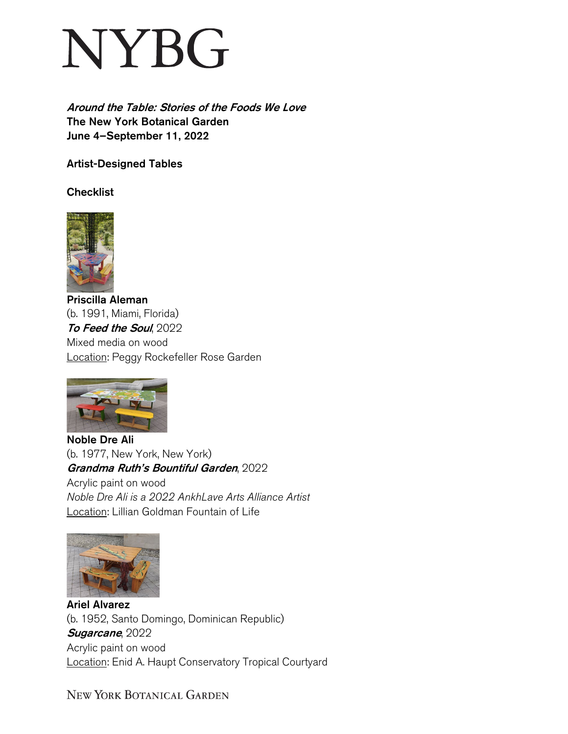## NYBG

Around the Table: Stories of the Foods We Love The New York Botanical Garden June 4–September 11, 2022

Artist-Designed Tables

**Checklist** 



Priscilla Aleman (b. 1991, Miami, Florida) To Feed the Soul, 2022 Mixed media on wood Location: Peggy Rockefeller Rose Garden



Noble Dre Ali (b. 1977, New York, New York) Grandma Ruth's Bountiful Garden, 2022 Acrylic paint on wood *Noble Dre Ali is a 2022 AnkhLave Arts Alliance Artist* Location: Lillian Goldman Fountain of Life



Ariel Alvarez (b. 1952, Santo Domingo, Dominican Republic) Sugarcane, 2022 Acrylic paint on wood Location: Enid A. Haupt Conservatory Tropical Courtyard

NEW YORK BOTANICAL GARDEN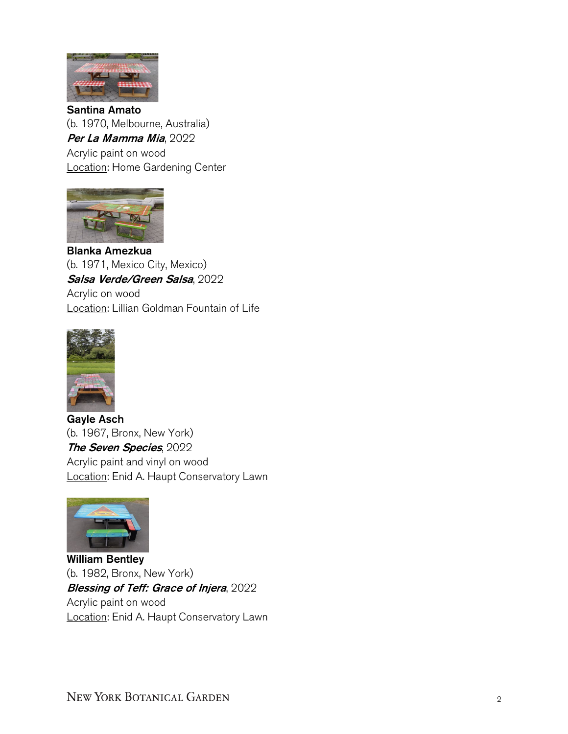

Santina Amato (b. 1970, Melbourne, Australia) Per La Mamma Mia, 2022 Acrylic paint on wood **Location: Home Gardening Center** 



Blanka Amezkua (b. 1971, Mexico City, Mexico) Salsa Verde/Green Salsa, 2022 Acrylic on wood Location: Lillian Goldman Fountain of Life



Gayle Asch (b. 1967, Bronx, New York) The Seven Species, 2022 Acrylic paint and vinyl on wood Location: Enid A. Haupt Conservatory Lawn



William Bentley (b. 1982, Bronx, New York) **Blessing of Teff: Grace of Injera, 2022** Acrylic paint on wood Location: Enid A. Haupt Conservatory Lawn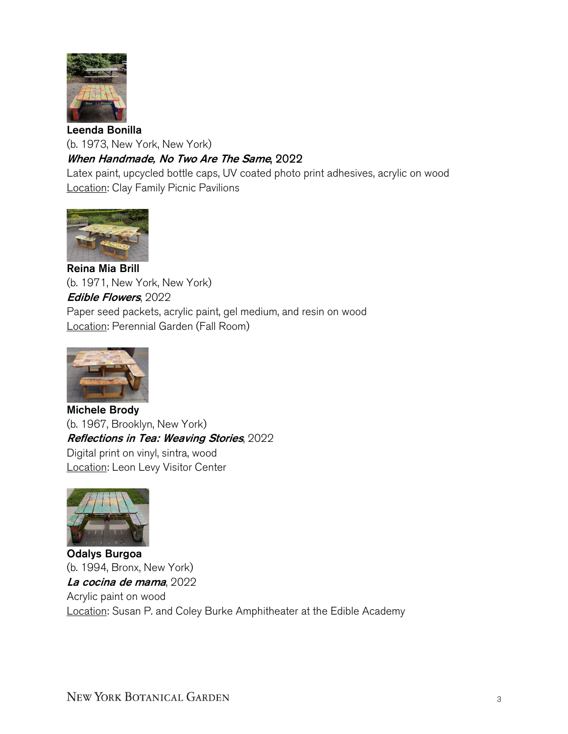

Leenda Bonilla (b. 1973, New York, New York) When Handmade, No Two Are The Same, 2022

Latex paint, upcycled bottle caps, UV coated photo print adhesives, acrylic on wood **Location: Clay Family Picnic Pavilions** 



Reina Mia Brill (b. 1971, New York, New York) Edible Flowers, 2022 Paper seed packets, acrylic paint, gel medium, and resin on wood Location: Perennial Garden (Fall Room)



Michele Brody (b. 1967, Brooklyn, New York) Reflections in Tea: Weaving Stories, 2022 Digital print on vinyl, sintra, wood Location: Leon Levy Visitor Center



Odalys Burgoa (b. 1994, Bronx, New York) La cocina de mama, 2022 Acrylic paint on wood Location: Susan P. and Coley Burke Amphitheater at the Edible Academy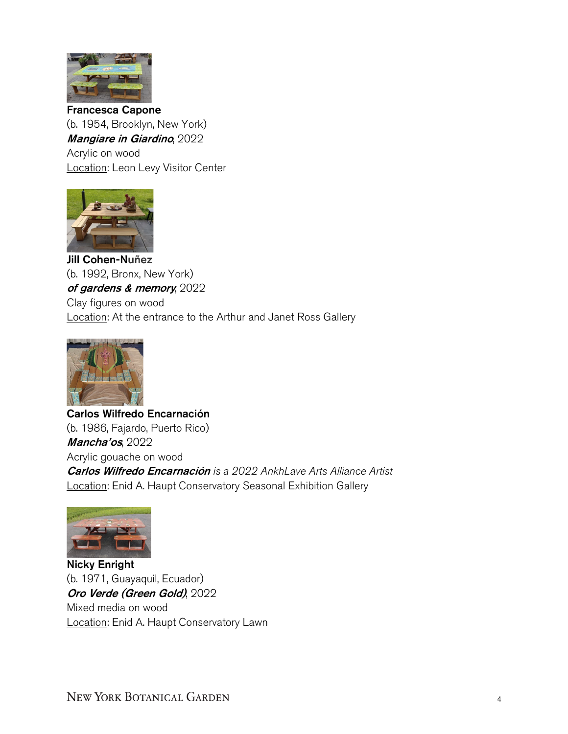

Francesca Capone (b. 1954, Brooklyn, New York) Mangiare in Giardino, 2022 Acrylic on wood Location: Leon Levy Visitor Center



Jill Cohen-Nuñez (b. 1992, Bronx, New York) of gardens & memory, 2022 Clay figures on wood Location: At the entrance to the Arthur and Janet Ross Gallery



Carlos Wilfredo Encarnación (b. 1986, Fajardo, Puerto Rico) **Mancha'os, 2022** Acrylic gouache on wood Carlos Wilfredo Encarnación *is a 2022 AnkhLave Arts Alliance Artist* Location: Enid A. Haupt Conservatory Seasonal Exhibition Gallery



Nicky Enright (b. 1971, Guayaquil, Ecuador) Oro Verde (Green Gold), 2022 Mixed media on wood Location: Enid A. Haupt Conservatory Lawn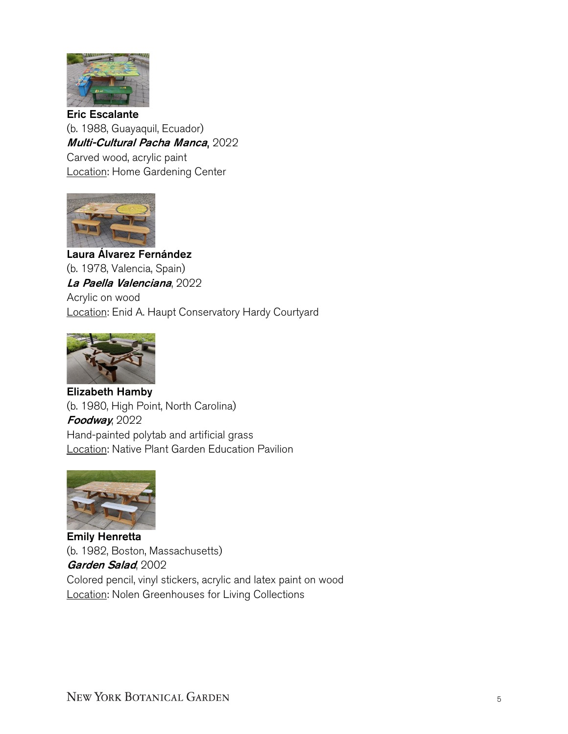

Eric Escalante (b. 1988, Guayaquil, Ecuador) Multi-Cultural Pacha Manca, 2022 Carved wood, acrylic paint Location: Home Gardening Center



Laura Álvarez Fernández (b. 1978, Valencia, Spain) La Paella Valenciana, 2022 Acrylic on wood Location: Enid A. Haupt Conservatory Hardy Courtyard



Elizabeth Hamby (b. 1980, High Point, North Carolina) Foodway, 2022 Hand-painted polytab and artificial grass Location: Native Plant Garden Education Pavilion



Emily Henretta (b. 1982, Boston, Massachusetts) Garden Salad, 2002 Colored pencil, vinyl stickers, acrylic and latex paint on wood **Location: Nolen Greenhouses for Living Collections**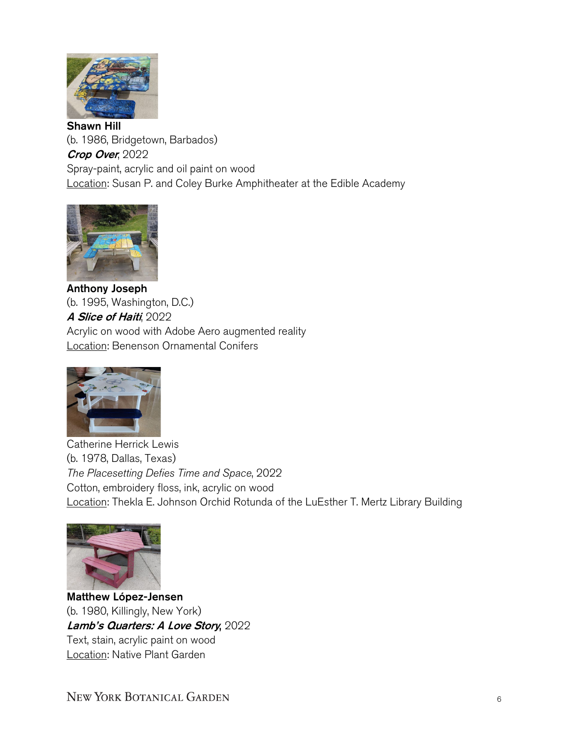

Shawn Hill (b. 1986, Bridgetown, Barbados) Crop Over, 2022 Spray-paint, acrylic and oil paint on wood Location: Susan P. and Coley Burke Amphitheater at the Edible Academy



Anthony Joseph (b. 1995, Washington, D.C.) A Slice of Haiti, 2022 Acrylic on wood with Adobe Aero augmented reality Location: Benenson Ornamental Conifers



Catherine Herrick Lewis (b. 1978, Dallas, Texas) *The Placesetting Defies Time and Space*, 2022 Cotton, embroidery floss, ink, acrylic on wood Location: Thekla E. Johnson Orchid Rotunda of the LuEsther T. Mertz Library Building



 Matthew López-Jensen (b. 1980, Killingly, New York) Lamb's Quarters: A Love Story, 2022 Text, stain, acrylic paint on wood Location: Native Plant Garden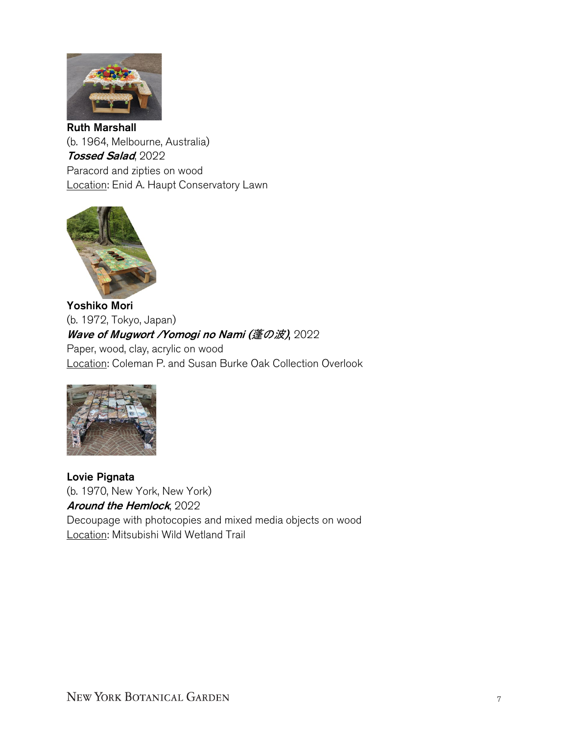

Ruth Marshall (b. 1964, Melbourne, Australia) Tossed Salad, 2022 Paracord and zipties on wood Location: Enid A. Haupt Conservatory Lawn



Yoshiko Mori (b. 1972, Tokyo, Japan) Wave of Mugwort / Yomogi no Nami (蓬の波), 2022 Paper, wood, clay, acrylic on wood Location: Coleman P. and Susan Burke Oak Collection Overlook



Lovie Pignata (b. 1970, New York, New York) Around the Hemlock, 2022 Decoupage with photocopies and mixed media objects on wood Location: Mitsubishi Wild Wetland Trail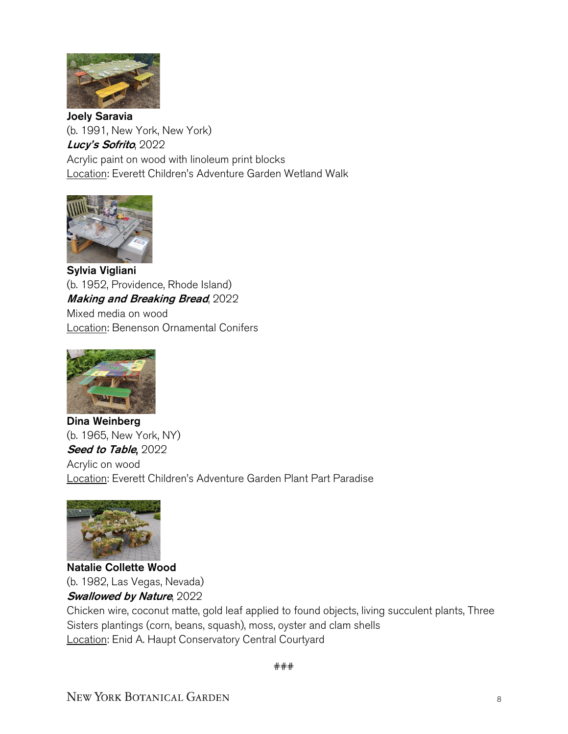

Joely Saravia (b. 1991, New York, New York) Lucy's Sofrito, 2022 Acrylic paint on wood with linoleum print blocks Location: Everett Children's Adventure Garden Wetland Walk



Sylvia Vigliani (b. 1952, Providence, Rhode Island) Making and Breaking Bread, 2022 Mixed media on wood Location: Benenson Ornamental Conifers



Dina Weinberg (b. 1965, New York, NY) Seed to Table, 2022 Acrylic on wood Location: Everett Children's Adventure Garden Plant Part Paradise



Natalie Collette Wood (b. 1982, Las Vegas, Nevada)

## Swallowed by Nature, 2022

Chicken wire, coconut matte, gold leaf applied to found objects, living succulent plants, Three Sisters plantings (corn, beans, squash), moss, oyster and clam shells Location: Enid A. Haupt Conservatory Central Courtyard